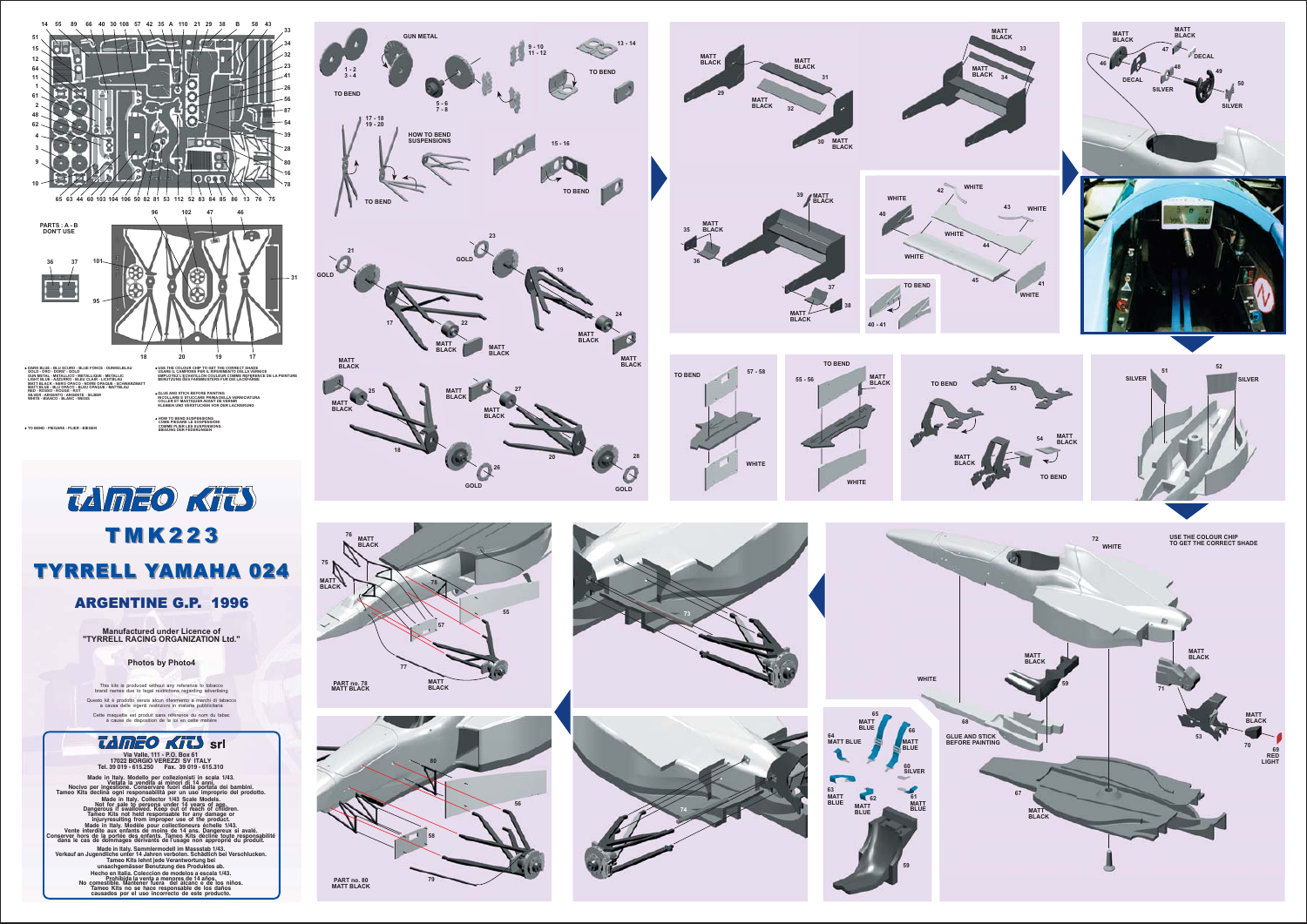



Manufactured under Licence of<br>"TYRRELL RACING ORGANIZATION Ltd."

Photos by Photo4

This kits is produced without any reference to tobacco<br>brand names due to legal restrictions regarding advertising Questo kit é prodotto senza alcun riferimento a marchi di tabacco<br>a causa delle vigenti restrizioni in materia pubblicitaria

Cette maquette est produit sans référence du nom du tabac<br>à cause de disposition de la loi en cette matière

## *<u>TAMEO KITS</u>* srl Via Valle, 111 - P.O. Box 61<br>17022 BORGIO VEREZZI SV ITALY<br>Tel. 39 019 - 615.250 Fax. 39 019 - 615.310

Made in Italy. Modello per collezionisti in scala 1/43.<br>o per ingestione. Conservare fuori di 14 anni.<br>o per ingestione. Conservare fuori dalla portata dei bambini.<br>s declina ogni responsabilità per un uso improprio del pr S declines considerably are under the property of the property and the function of the Taylor Taylor Taylor Taylor Taylor Taylor Taylor Taylor Taylor Taylor Taylor Taylor Taylor Taylor Taylor Taylor Taylor Taylor Taylor Ta le cas d'orimanes dérivants de l'usage non approprié du<br>
1 d'august de l'usage d'orimanes de l'auter en transportie du<br>
1 d'august de l'auter en transportant de l'expression de l'auter de l'auter de l'auter de l'auter de





USE THE COLOUR CHIP<br>TO GET THE CORRECT SHADE

ES<br>RED<br>LIGHT

MATT<br>BLACK

DECA

SILVER

MATT<br>BLACK

DECA

**SILVE**